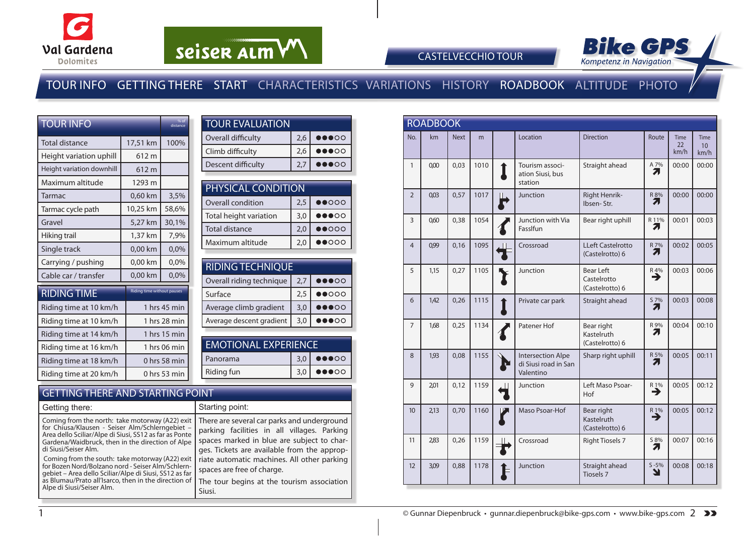

# seiser alm VV



CASTELVECCHIO TOUR

## TOUR INFO GETTING THERE START CHARACTERISTICS VARIATIONS HISTORY ROADBOOK ALTITUDE PHOTO

| <b>TOUR INFO</b>          | % of<br>distance                  |              |
|---------------------------|-----------------------------------|--------------|
| Total distance            | 17,51 km                          | 100%         |
| Height variation uphill   | 612 m                             |              |
| Height variation downhill | 612 m                             |              |
| Maximum altitude          | 1293 m                            |              |
| Tarmac                    | 0,60 km                           | 3,5%         |
| Tarmac cycle path         | 10,25 km                          | 58,6%        |
| Gravel                    | 5,27 km                           | 30,1%        |
| Hiking trail              | 1,37 km                           | 7,9%         |
| Single track              | 0,00 km                           | 0,0%         |
| Carrying / pushing        | 0,00 km                           | 0,0%         |
| Cable car / transfer      | 0,00 km                           | 0.0%         |
| <b>RIDING TIME</b>        | <b>Riding time without pauses</b> |              |
| Riding time at 10 km/h    |                                   | 1 hrs 45 min |
| Riding time at 10 km/h    |                                   | 1 hrs 28 min |
| Riding time at 14 km/h    |                                   | 1 hrs 15 min |
| Riding time at 16 km/h    |                                   | 1 hrs 06 min |
| Riding time at 18 km/h    |                                   | 0 hrs 58 min |
| Riding time at 20 km/h    |                                   | 0 hrs 53 min |

| <b>TOUR EVALUATION</b> |     |                                   |  |  |  |  |  |  |  |
|------------------------|-----|-----------------------------------|--|--|--|--|--|--|--|
| Overall difficulty     | 2,6 | $\bullet\bullet\bullet\circ\circ$ |  |  |  |  |  |  |  |
| Climb difficulty       | 2.6 | $\bullet\bullet\bullet\circ\circ$ |  |  |  |  |  |  |  |
| Descent difficulty     | 2.7 | 00000                             |  |  |  |  |  |  |  |

| PHYSICAL CONDITION     |     |                                   |  |  |  |  |  |  |
|------------------------|-----|-----------------------------------|--|--|--|--|--|--|
| Overall condition      | 2,5 | $\bullet\bullet\circ\circ\circ$   |  |  |  |  |  |  |
| Total height variation | 3,0 | $\bullet\bullet\bullet\circ\circ$ |  |  |  |  |  |  |
| <b>Total distance</b>  | 2,0 | $\bullet\bullet\circ\circ\circ$   |  |  |  |  |  |  |
| Maximum altitude       | 2,0 | ഥററ                               |  |  |  |  |  |  |

| <b>RIDING TECHNIQUE</b>  |     |                                   |  |  |  |  |  |  |  |
|--------------------------|-----|-----------------------------------|--|--|--|--|--|--|--|
| Overall riding technique | 2.7 | $\bullet\bullet\bullet\circ\circ$ |  |  |  |  |  |  |  |
| Surface                  | 2.5 | $\bullet\bullet\circ\circ\circ$   |  |  |  |  |  |  |  |
| Average climb gradient   | 3,0 | $\bullet$ 00                      |  |  |  |  |  |  |  |
| Average descent gradient | 3,0 | DO                                |  |  |  |  |  |  |  |
|                          |     |                                   |  |  |  |  |  |  |  |

| <b>EMOTIONAL EXPERIENCE</b>                          |     |                                   |  |  |  |  |  |  |  |
|------------------------------------------------------|-----|-----------------------------------|--|--|--|--|--|--|--|
| $\bullet\bullet\bullet\circ\circ$<br>3.0<br>Panorama |     |                                   |  |  |  |  |  |  |  |
| Riding fun                                           | 3.0 | $\bullet\bullet\bullet\circ\circ$ |  |  |  |  |  |  |  |
|                                                      |     |                                   |  |  |  |  |  |  |  |

#### GETTING THERE AND STARTING POINT

| Getting there:                                                                                                                                                                                                                                      | Starting point:                                                                                                                                                                         |
|-----------------------------------------------------------------------------------------------------------------------------------------------------------------------------------------------------------------------------------------------------|-----------------------------------------------------------------------------------------------------------------------------------------------------------------------------------------|
| Coming from the north: take motorway (A22) exit<br>for Chiusa/Klausen - Seiser Alm/Schlerngebiet -<br>Area dello Sciliar/Alpe di Siusi, SS12 as far as Ponte<br>Gardena/Waidbruck, then in the direction of Alpe<br>di Siusi/Seiser Alm.            | There are several car parks and underground<br>parking facilities in all villages. Parking<br>spaces marked in blue are subject to char-<br>ges. Tickets are available from the approp- |
| Coming from the south: take motorway (A22) exit<br>for Bozen Nord/Bolzano nord - Seiser Alm/Schlern-<br>gebiet - Area dello Sciliar/Alpe di Siusi, SS12 as far<br>as Blumau/Prato all'Isarco, then in the direction of<br>Alpe di Siusi/Seiser Alm. | riate automatic machines. All other parking<br>spaces are free of charge.<br>The tour begins at the tourism association<br>Siusi.                                                       |

|                | <b>ROADBOOK</b> |             |      |  |                                                               |                                                    |                              |                           |                                         |  |  |
|----------------|-----------------|-------------|------|--|---------------------------------------------------------------|----------------------------------------------------|------------------------------|---------------------------|-----------------------------------------|--|--|
| No.            | km              | <b>Next</b> | m    |  | Location                                                      | <b>Direction</b>                                   | Route                        | <b>Time</b><br>22<br>km/h | <b>Time</b><br>10 <sup>10</sup><br>km/h |  |  |
| $\mathbf{1}$   | 0,00            | 0,03        | 1010 |  | Tourism associ-<br>ation Siusi, bus<br>station                | Straight ahead                                     | A 7%<br>7                    | 00:00                     | 00:00                                   |  |  |
| $\overline{2}$ | 0,03            | 0,57        | 1017 |  | Junction                                                      | Right Henrik-<br>Ibsen-Str.                        | $R\frac{8\%}{7}$             | 00:00                     | 00:00                                   |  |  |
| 3              | 0,60            | 0,38        | 1054 |  | Junction with Via<br>FassIfun                                 | Bear right uphill                                  | R 11%<br>Л                   | 00:01                     | 00:03                                   |  |  |
| $\overline{4}$ | 0,99            | 0,16        | 1095 |  | Crossroad                                                     | <b>LLeft Castelrotto</b><br>(Castelrotto) 6        | $R_{7\%}$                    | 00:02                     | 00:05                                   |  |  |
| 5              | 1.15            | 0,27        | 1105 |  | Junction                                                      | <b>Bear Left</b><br>Castelrotto<br>(Castelrotto) 6 | $R_{1}^{4\%}$                | 00:03                     | 00:06                                   |  |  |
| 6              | 1,42            | 0,26        | 1115 |  | Private car park                                              | Straight ahead                                     | $S \underline{7\%}$<br>7     | 00:03                     | 00:08                                   |  |  |
| $\overline{7}$ | 1,68            | 0,25        | 1134 |  | Patener Hof                                                   | Bear right<br>Kastelruth<br>(Castelrotto) 6        | R 9%<br>Л                    | 00:04                     | 00:10                                   |  |  |
| 8              | 1,93            | 0,08        | 1155 |  | <b>Intersection Alpe</b><br>di Siusi road in San<br>Valentino | Sharp right uphill                                 | R 5%<br>7                    | 00:05                     | 00:11                                   |  |  |
| 9              | 201             | 0,12        | 1159 |  | Junction                                                      | Left Maso Psoar-<br>Hof                            | $\overline{R}$ <sup>1%</sup> | 00:05                     | 00:12                                   |  |  |
| 10             | 2,13            | 0,70        | 1160 |  | Maso Psoar-Hof                                                | Bear right<br>Kastelruth<br>(Castelrotto) 6        | $\overrightarrow{R}$ 1%      | 00:05                     | 00:12                                   |  |  |
| 11             | 2,83            | 0,26        | 1159 |  | Crossroad                                                     | <b>Right Tiosels 7</b>                             | S 8%<br>7                    | 00:07                     | 00:16                                   |  |  |
| 12             | 3,09            | 0,88        | 1178 |  | Junction                                                      | Straight ahead<br>Tiosels 7                        | $S - 5%$<br>ע                | 00:08                     | 00:18                                   |  |  |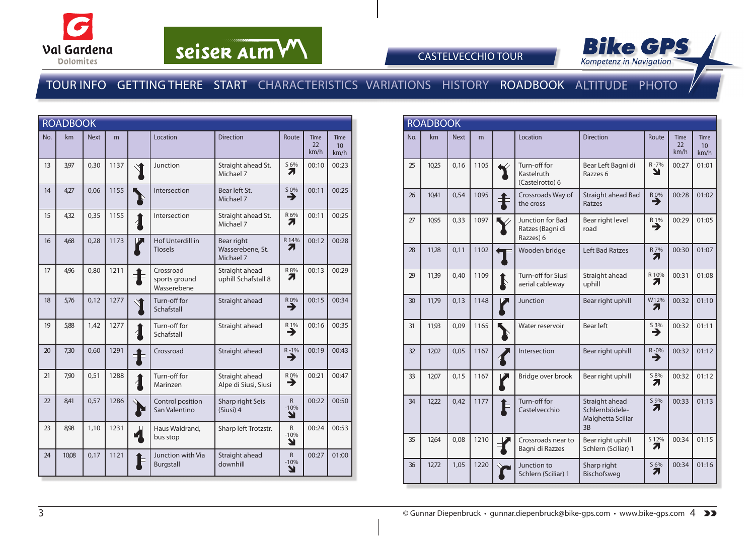

# seiser alm VV



CASTELVECCHIO TOUR

### TOUR INFO GETTING THERE START CHARACTERISTICS VARIATIONS HISTORY ROADBOOK ALTITUDE PHOTO

| <b>ROADBOOK</b> |       |             |      |                     |                                           |                                             |                               |                                          |                                 |
|-----------------|-------|-------------|------|---------------------|-------------------------------------------|---------------------------------------------|-------------------------------|------------------------------------------|---------------------------------|
| No.             | km    | <b>Next</b> | m    |                     | Location                                  | <b>Direction</b>                            | Route                         | <b>Time</b><br>$22 \overline{)}$<br>km/h | Time<br>10 <sup>°</sup><br>km/h |
| 13              | 3,97  | 0,30        | 1137 |                     | Junction                                  | Straight ahead St.<br>Michael 7             | S 6%<br>71                    | 00:10                                    | 00:23                           |
| 14              | 4,27  | 0,06        | 1155 |                     | Intersection                              | Bear left St.<br>Michael 7                  | $\overset{50\%}{\rightarrow}$ | 00:11                                    | 00:25                           |
| 15              | 4,32  | 0,35        | 1155 | $\boldsymbol{1}$    | Intersection                              | Straight ahead St.<br>Michael 7             | R 6%<br>Л                     | 00:11                                    | 00:25                           |
| 16              | 4,68  | 0,28        | 1173 |                     | Hof Unterdill in<br><b>Tiosels</b>        | Bear right<br>Wasserebene, St.<br>Michael 7 | R 14%<br>71                   | 00:12                                    | 00:28                           |
| 17              | 4,96  | 0,80        | 1211 |                     | Crossroad<br>sports ground<br>Wasserebene | Straight ahead<br>uphill Schafstall 8       | R 8%<br>71                    | 00:13                                    | 00:29                           |
| 18              | 5,76  | 0,12        | 1277 |                     | Turn-off for<br>Schafstall                | Straight ahead                              | R 0%<br>→                     | 00:15                                    | 00:34                           |
| 19              | 5,88  | 1,42        | 1277 |                     | Turn-off for<br>Schafstall                | Straight ahead                              | $R_{1\%}$                     | 00:16                                    | 00:35                           |
| 20              | 7,30  | 0,60        | 1291 | 卡                   | Crossroad                                 | Straight ahead                              | $R-1%$                        | 00:19                                    | 00:43                           |
| 21              | 7,90  | 0,51        | 1288 | $\boldsymbol{\eta}$ | Turn-off for<br>Marinzen                  | Straight ahead<br>Alpe di Siusi, Siusi      | R 0%<br>→                     | 00:21                                    | 00:47                           |
| 22              | 8.41  | 0,57        | 1286 | Σ                   | Control position<br>San Valentino         | Sharp right Seis<br>(Siusi) 4               | $\overline{R}$<br>$-10%$<br>Y | 00:22                                    | 00:50                           |
| 23              | 8,98  | 1,10        | 1231 |                     | Haus Waldrand,<br>bus stop                | Sharp left Trotzstr.                        | R.<br>$-10%$<br>Y             | 00:24                                    | 00:53                           |
| 24              | 10,08 | 0,17        | 1121 |                     | Junction with Via<br>Burgstall            | Straight ahead<br>downhill                  | $\mathsf{R}$<br>$-10%$<br>Y   | 00:27                                    | 01:00                           |

|     | <b>ROADBOOK</b> |             |      |  |                                                   |                                                             |                             |                           |                                        |  |  |
|-----|-----------------|-------------|------|--|---------------------------------------------------|-------------------------------------------------------------|-----------------------------|---------------------------|----------------------------------------|--|--|
| No. | km              | <b>Next</b> | m    |  | Location                                          | <b>Direction</b>                                            | Route                       | <b>Time</b><br>22<br>km/h | <b>Time</b><br>10 <sup>°</sup><br>km/h |  |  |
| 25  | 10,25           | 0,16        | 1105 |  | Turn-off for<br>Kastelruth<br>(Castelrotto) 6     | Bear Left Bagni di<br>Razzes 6                              | $R - 7%$<br>N               | 00:27                     | 01:01                                  |  |  |
| 26  | 10,41           | 0,54        | 1095 |  | Crossroads Way of<br>the cross                    | Straight ahead Bad<br>Ratzes                                | $R_{\bullet}$ <sup>0%</sup> | 00:28                     | 01:02                                  |  |  |
| 27  | 10,95           | 0,33        | 1097 |  | Junction for Bad<br>Ratzes (Bagni di<br>Razzes) 6 | Bear right level<br>road                                    | R 1%<br>→                   | 00:29                     | 01:05                                  |  |  |
| 28  | 11,28           | 0,11        | 1102 |  | Wooden bridge                                     | <b>Left Bad Ratzes</b>                                      | R 7%<br>71                  | 00:30                     | 01:07                                  |  |  |
| 29  | 11,39           | 0,40        | 1109 |  | Turn-off for Siusi<br>aerial cableway             | Straight ahead<br>uphill                                    | R 10%<br>Л                  | 00:31                     | 01:08                                  |  |  |
| 30  | 11,79           | 0.13        | 1148 |  | Junction                                          | Bear right uphill                                           | W12%<br>71                  | 00:32                     | 01:10                                  |  |  |
| 31  | 11,93           | 0,09        | 1165 |  | Water reservoir                                   | Bear left                                                   | S 3%<br>→                   | 00:32                     | 01:11                                  |  |  |
| 32  | 12,02           | 0,05        | 1167 |  | Intersection                                      | Bear right uphill                                           | $R - 0%$<br>→               | 00:32                     | 01:12                                  |  |  |
| 33  | 12,07           | 0,15        | 1167 |  | Bridge over brook                                 | Bear right uphill                                           | S 8%<br>71                  | 00:32                     | 01:12                                  |  |  |
| 34  | 12,22           | 0.42        | 1177 |  | Turn-off for<br>Castelvecchio                     | Straight ahead<br>Schlernbödele-<br>Malghetta Sciliar<br>3B | S 9%<br>7.                  | 00:33                     | 01:13                                  |  |  |
| 35  | 12,64           | 0.08        | 1210 |  | Crossroads near to<br>Bagni di Razzes             | Bear right uphill<br>Schlern (Sciliar) 1                    | S 12%<br>71                 | 00:34                     | 01:15                                  |  |  |
| 36  | 12,72           | 1,05        | 1220 |  | Junction to<br>Schlern (Sciliar) 1                | Sharp right<br>Bischofsweg                                  | S 6%<br>71                  | 00:34                     | 01:16                                  |  |  |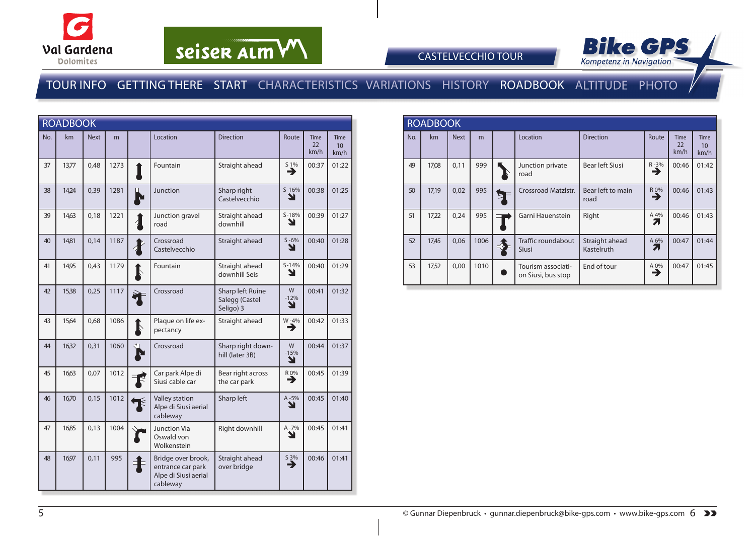

# seiser alm VV



#### CASTELVECCHIO TOUR

### TOUR INFO GETTING THERE START CHARACTERISTICS VARIATIONS HISTORY ROADBOOK ALTITUDE PHOTO

|     | <b>ROADBOOK</b> |             |      |                                                                             |                                                 |                  |                           |                                         |
|-----|-----------------|-------------|------|-----------------------------------------------------------------------------|-------------------------------------------------|------------------|---------------------------|-----------------------------------------|
| No. | km              | <b>Next</b> | m    | Location                                                                    | <b>Direction</b>                                | Route            | <b>Time</b><br>22<br>km/h | <b>Time</b><br>10 <sup>10</sup><br>km/h |
| 37  | 13,77           | 0,48        | 1273 | Fountain                                                                    | Straight ahead                                  | 51%<br>∍         | 00:37                     | 01:22                                   |
| 38  | 14,24           | 0,39        | 1281 | Junction                                                                    | Sharp right<br>Castelvecchio                    | $S-16%$<br>N     | 00:38                     | 01:25                                   |
| 39  | 14,63           | 0,18        | 1221 | Junction gravel<br>road                                                     | Straight ahead<br>downhill                      | $S-18%$<br>N     | 00:39                     | 01:27                                   |
| 40  | 14,81           | 0,14        | 1187 | Crossroad<br>Castelvecchio                                                  | Straight ahead                                  | $S - 6%$<br>Y    | 00:40                     | 01:28                                   |
| 41  | 14,95           | 0,43        | 1179 | Fountain                                                                    | Straight ahead<br>downhill Seis                 | $S-14%$<br>ע     | 00:40                     | 01:29                                   |
| 42  | 15,38           | 0,25        | 1117 | Crossroad                                                                   | Sharp left Ruine<br>Salegg (Castel<br>Seligo) 3 | W<br>$-12%$<br>N | 00:41                     | 01:32                                   |
| 43  | 15,64           | 0,68        | 1086 | Plaque on life ex-<br>pectancy                                              | Straight ahead                                  | W-4%<br>→        | 00:42                     | 01:33                                   |
| 44  | 16,32           | 0,31        | 1060 | Crossroad                                                                   | Sharp right down-<br>hill (later 3B)            | W<br>$-15%$<br>N | 00:44                     | 01:37                                   |
| 45  | 16,63           | 0,07        | 1012 | Car park Alpe di<br>Siusi cable car                                         | Bear right across<br>the car park               | $\overline{P}$   | 00:45                     | 01:39                                   |
| 46  | 16,70           | 0,15        | 1012 | Valley station<br>Alpe di Siusi aerial<br>cableway                          | Sharp left                                      | $A - 5%$<br>N    | 00:45                     | 01:40                                   |
| 47  | 16,85           | 0,13        | 1004 | <b>Junction Via</b><br>Oswald von<br>Wolkenstein                            | Right downhill                                  | A-7%<br>Y        | 00:45                     | 01:41                                   |
| 48  | 16,97           | 0,11        | 995  | Bridge over brook,<br>entrance car park<br>Alpe di Siusi aerial<br>cableway | Straight ahead<br>over bridge                   | $\frac{53\%}{2}$ | 00:46                     | 01:41                                   |

|     | <b>ROADBOOK</b> |             |      |   |                                          |                              |               |                           |                    |  |  |
|-----|-----------------|-------------|------|---|------------------------------------------|------------------------------|---------------|---------------------------|--------------------|--|--|
| No. | km              | <b>Next</b> | m    |   | Location                                 | <b>Direction</b>             | Route         | <b>Time</b><br>22<br>km/h | Time<br>10<br>km/h |  |  |
| 49  | 17,08           | 0,11        | 999  |   | Junction private<br>road                 | Bear left Siusi              | $R - 3%$<br>→ | 00:46                     | 01:42              |  |  |
| 50  | 17,19           | 0,02        | 995  | ⊵ | <b>Crossroad Matzlstr.</b>               | Bear left to main<br>road    | R 0%<br>∍     | 00:46                     | 01:43              |  |  |
| 51  | 17,22           | 0,24        | 995  |   | Garni Hauenstein                         | Right                        | A 4%          | 00:46                     | 01:43              |  |  |
| 52  | 17,45           | 0,06        | 1006 |   | Traffic roundabout<br><b>Siusi</b>       | Straight ahead<br>Kastelruth | A 6%          | 00:47                     | 01:44              |  |  |
| 53  | 17,52           | 0,00        | 1010 |   | Tourism associati-<br>on Siusi, bus stop | End of tour                  | A 0%<br>→     | 00:47                     | 01:45              |  |  |